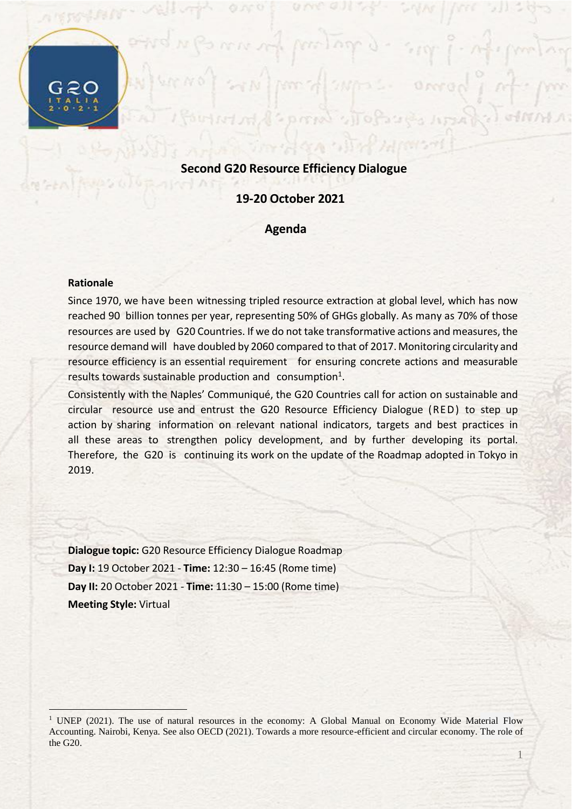# **Second G20 Resource Efficiency Dialogue**

### **19-20 October 2021**

#### **Agenda**

#### **Rationale**

 $\overline{a}$ 

Since 1970, we have been witnessing tripled resource extraction at global level, which has now reached 90 billion tonnes per year, representing 50% of GHGs globally. As many as 70% of those resources are used by G20 Countries. If we do not take transformative actions and measures, the resource demand will have doubled by 2060 compared to that of 2017. Monitoring circularity and resource efficiency is an essential requirement for ensuring concrete actions and measurable results towards sustainable production and consumption<sup>1</sup>.

Consistently with the Naples' Communiqué, the G20 Countries call for action on sustainable and circular resource use and entrust the G20 Resource Efficiency Dialogue (RED) to step up action by sharing information on relevant national indicators, targets and best practices in all these areas to strengthen policy development, and by further developing its portal. Therefore, the G20 is continuing its work on the update of the Roadmap adopted in Tokyo in 2019.

**Dialogue topic:** G20 Resource Efficiency Dialogue Roadmap **Day I:** 19 October 2021 - **Time:** 12:30 – 16:45 (Rome time) **Day II:** 20 October 2021 - **Time:** 11:30 – 15:00 (Rome time) **Meeting Style:** Virtual

1

<sup>&</sup>lt;sup>1</sup> UNEP (2021). The use of natural resources in the economy: A Global Manual on Economy Wide Material Flow Accounting. Nairobi, Kenya. See also OECD (2021). Towards a more resource-efficient and circular economy. The role of the G20.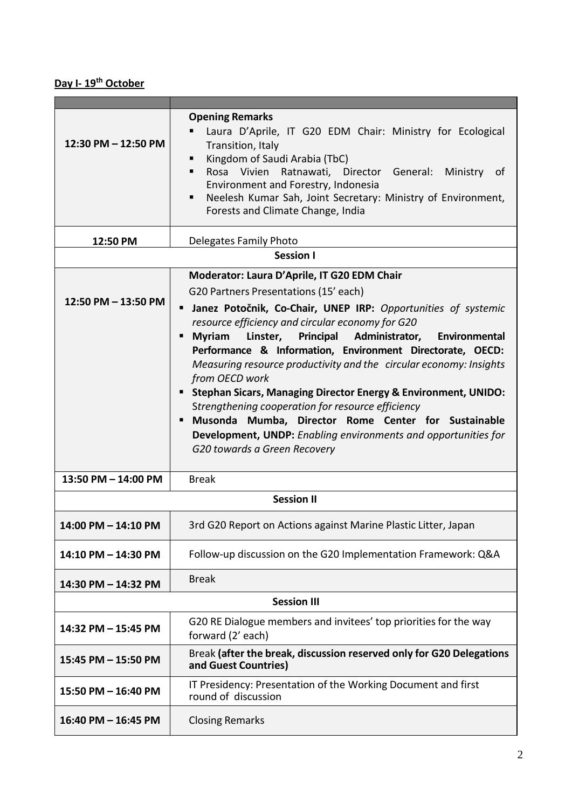# **Day I- 19th October**

| 12:30 PM - 12:50 PM | <b>Opening Remarks</b><br>Laura D'Aprile, IT G20 EDM Chair: Ministry for Ecological<br>Transition, Italy<br>Kingdom of Saudi Arabia (TbC)<br>Rosa Vivien Ratnawati, Director General: Ministry of<br>٠<br>Environment and Forestry, Indonesia<br>Neelesh Kumar Sah, Joint Secretary: Ministry of Environment,<br>٠<br>Forests and Climate Change, India                                                                                                                                                                                                                                                                                                                                                                                              |  |
|---------------------|------------------------------------------------------------------------------------------------------------------------------------------------------------------------------------------------------------------------------------------------------------------------------------------------------------------------------------------------------------------------------------------------------------------------------------------------------------------------------------------------------------------------------------------------------------------------------------------------------------------------------------------------------------------------------------------------------------------------------------------------------|--|
| 12:50 PM            | Delegates Family Photo                                                                                                                                                                                                                                                                                                                                                                                                                                                                                                                                                                                                                                                                                                                               |  |
| <b>Session I</b>    |                                                                                                                                                                                                                                                                                                                                                                                                                                                                                                                                                                                                                                                                                                                                                      |  |
| 12:50 PM - 13:50 PM | Moderator: Laura D'Aprile, IT G20 EDM Chair<br>G20 Partners Presentations (15' each)<br>Janez Potočnik, Co-Chair, UNEP IRP: Opportunities of systemic<br>п<br>resource efficiency and circular economy for G20<br><b>Myriam</b><br>Linster, Principal Administrator,<br>Environmental<br>п<br>Performance & Information, Environment Directorate, OECD:<br>Measuring resource productivity and the circular economy: Insights<br>from OECD work<br><b>Stephan Sicars, Managing Director Energy &amp; Environment, UNIDO:</b><br>п<br>Strengthening cooperation for resource efficiency<br>Musonda Mumba, Director Rome Center for Sustainable<br>п<br>Development, UNDP: Enabling environments and opportunities for<br>G20 towards a Green Recovery |  |
| 13:50 PM - 14:00 PM | <b>Break</b>                                                                                                                                                                                                                                                                                                                                                                                                                                                                                                                                                                                                                                                                                                                                         |  |
| <b>Session II</b>   |                                                                                                                                                                                                                                                                                                                                                                                                                                                                                                                                                                                                                                                                                                                                                      |  |
| 14:00 PM - 14:10 PM | 3rd G20 Report on Actions against Marine Plastic Litter, Japan                                                                                                                                                                                                                                                                                                                                                                                                                                                                                                                                                                                                                                                                                       |  |
| 14:10 PM - 14:30 PM | Follow-up discussion on the G20 Implementation Framework: Q&A                                                                                                                                                                                                                                                                                                                                                                                                                                                                                                                                                                                                                                                                                        |  |
| 14:30 PM - 14:32 PM | <b>Break</b>                                                                                                                                                                                                                                                                                                                                                                                                                                                                                                                                                                                                                                                                                                                                         |  |
| <b>Session III</b>  |                                                                                                                                                                                                                                                                                                                                                                                                                                                                                                                                                                                                                                                                                                                                                      |  |
| 14:32 PM - 15:45 PM | G20 RE Dialogue members and invitees' top priorities for the way<br>forward (2' each)                                                                                                                                                                                                                                                                                                                                                                                                                                                                                                                                                                                                                                                                |  |
| 15:45 PM - 15:50 PM | Break (after the break, discussion reserved only for G20 Delegations<br>and Guest Countries)                                                                                                                                                                                                                                                                                                                                                                                                                                                                                                                                                                                                                                                         |  |
| 15:50 PM - 16:40 PM | IT Presidency: Presentation of the Working Document and first<br>round of discussion                                                                                                                                                                                                                                                                                                                                                                                                                                                                                                                                                                                                                                                                 |  |
| 16:40 PM - 16:45 PM | <b>Closing Remarks</b>                                                                                                                                                                                                                                                                                                                                                                                                                                                                                                                                                                                                                                                                                                                               |  |